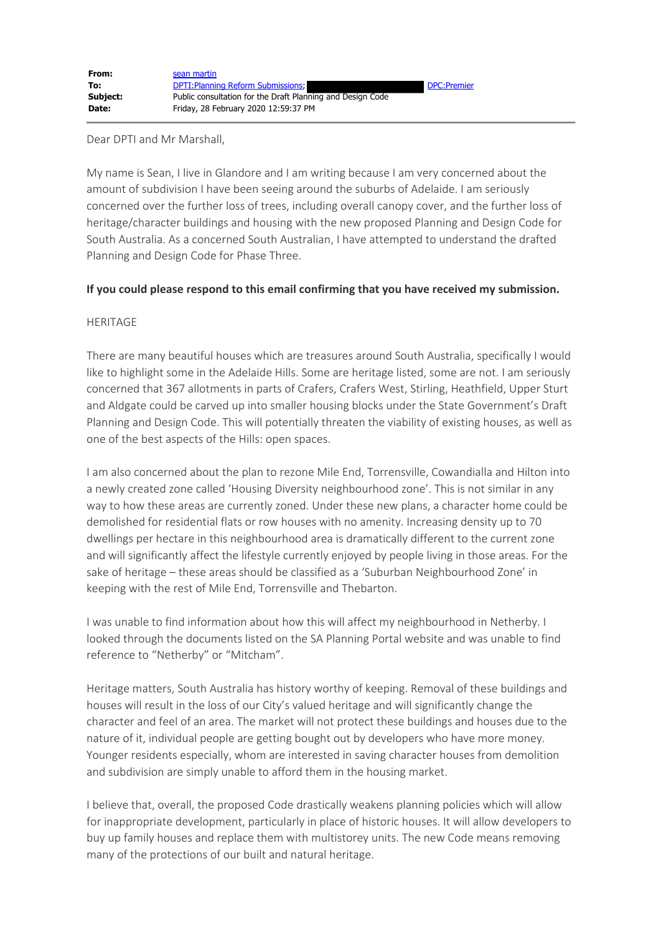Dear DPTI and Mr Marshall,

My name is Sean, I live in Glandore and I am writing because I am very concerned about the amount of subdivision I have been seeing around the suburbs of Adelaide. I am seriously concerned over the further loss of trees, including overall canopy cover, and the further loss of heritage/character buildings and housing with the new proposed Planning and Design Code for South Australia. As a concerned South Australian, I have attempted to understand the drafted Planning and Design Code for Phase Three.

## **If you could please respond to this email confirming that you have received my submission.**

## HERITAGE

There are many beautiful houses which are treasures around South Australia, specifically I would like to highlight some in the Adelaide Hills. Some are heritage listed, some are not. I am seriously concerned that 367 allotments in parts of Crafers, Crafers West, Stirling, Heathfield, Upper Sturt and Aldgate could be carved up into smaller housing blocks under the State Government's Draft Planning and Design Code. This will potentially threaten the viability of existing houses, as well as one of the best aspects of the Hills: open spaces.

I am also concerned about the plan to rezone Mile End, Torrensville, Cowandialla and Hilton into a newly created zone called 'Housing Diversity neighbourhood zone'. This is not similar in any way to how these areas are currently zoned. Under these new plans, a character home could be demolished for residential flats or row houses with no amenity. Increasing density up to 70 dwellings per hectare in this neighbourhood area is dramatically different to the current zone and will significantly affect the lifestyle currently enjoyed by people living in those areas. For the sake of heritage – these areas should be classified as a 'Suburban Neighbourhood Zone' in keeping with the rest of Mile End, Torrensville and Thebarton.

I was unable to find information about how this will affect my neighbourhood in Netherby. I looked through the documents listed on the SA Planning Portal website and was unable to find reference to "Netherby" or "Mitcham".

Heritage matters, South Australia has history worthy of keeping. Removal of these buildings and houses will result in the loss of our City's valued heritage and will significantly change the character and feel of an area. The market will not protect these buildings and houses due to the nature of it, individual people are getting bought out by developers who have more money. Younger residents especially, whom are interested in saving character houses from demolition and subdivision are simply unable to afford them in the housing market.

I believe that, overall, the proposed Code drastically weakens planning policies which will allow for inappropriate development, particularly in place of historic houses. It will allow developers to buy up family houses and replace them with multistorey units. The new Code means removing many of the protections of our built and natural heritage.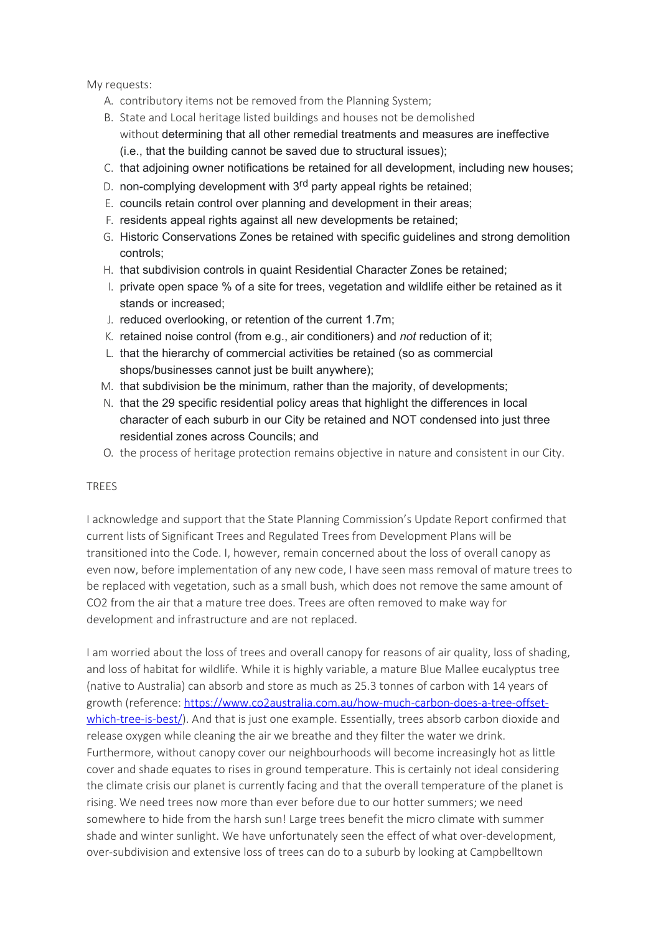My requests:

- A. contributory items not be removed from the Planning System;
- B. State and Local heritage listed buildings and houses not be demolished without determining that all other remedial treatments and measures are ineffective (i.e., that the building cannot be saved due to structural issues);
- C. that adjoining owner notifications be retained for all development, including new houses;
- D. non-complying development with 3<sup>rd</sup> party appeal rights be retained:
- E. councils retain control over planning and development in their areas;
- F. residents appeal rights against all new developments be retained;
- G. Historic Conservations Zones be retained with specific guidelines and strong demolition controls;
- H. that subdivision controls in quaint Residential Character Zones be retained;
- I. private open space % of a site for trees, vegetation and wildlife either be retained as it stands or increased;
- J. reduced overlooking, or retention of the current 1.7m;
- K. retained noise control (from e.g., air conditioners) and *not* reduction of it;
- L. that the hierarchy of commercial activities be retained (so as commercial shops/businesses cannot just be built anywhere);
- M. that subdivision be the minimum, rather than the majority, of developments;
- N. that the 29 specific residential policy areas that highlight the differences in local character of each suburb in our City be retained and NOT condensed into just three residential zones across Councils; and
- O. the process of heritage protection remains objective in nature and consistent in our City.

## **TREES**

I acknowledge and support that the State Planning Commission's Update Report confirmed that current lists of Significant Trees and Regulated Trees from Development Plans will be transitioned into the Code. I, however, remain concerned about the loss of overall canopy as even now, before implementation of any new code, I have seen mass removal of mature trees to be replaced with vegetation, such as a small bush, which does not remove the same amount of CO2 from the air that a mature tree does. Trees are often removed to make way for development and infrastructure and are not replaced.

I am worried about the loss of trees and overall canopy for reasons of air quality, loss of shading, and loss of habitat for wildlife. While it is highly variable, a mature Blue Mallee eucalyptus tree (native to Australia) can absorb and store as much as 25.3 tonnes of carbon with 14 years of growth (reference: [https://www.co2australia.com.au/how-much-carbon-does-a-tree-offset](https://protect-au.mimecast.com/s/IO6hC81ZZ8h0nN9cnHxAs?domain=co2australia.com.au/)[which-tree-is-best/](https://protect-au.mimecast.com/s/IO6hC81ZZ8h0nN9cnHxAs?domain=co2australia.com.au/)). And that is just one example. Essentially, trees absorb carbon dioxide and release oxygen while cleaning the air we breathe and they filter the water we drink. Furthermore, without canopy cover our neighbourhoods will become increasingly hot as little cover and shade equates to rises in ground temperature. This is certainly not ideal considering the climate crisis our planet is currently facing and that the overall temperature of the planet is rising. We need trees now more than ever before due to our hotter summers; we need somewhere to hide from the harsh sun! Large trees benefit the micro climate with summer shade and winter sunlight. We have unfortunately seen the effect of what over-development, over-subdivision and extensive loss of trees can do to a suburb by looking at Campbelltown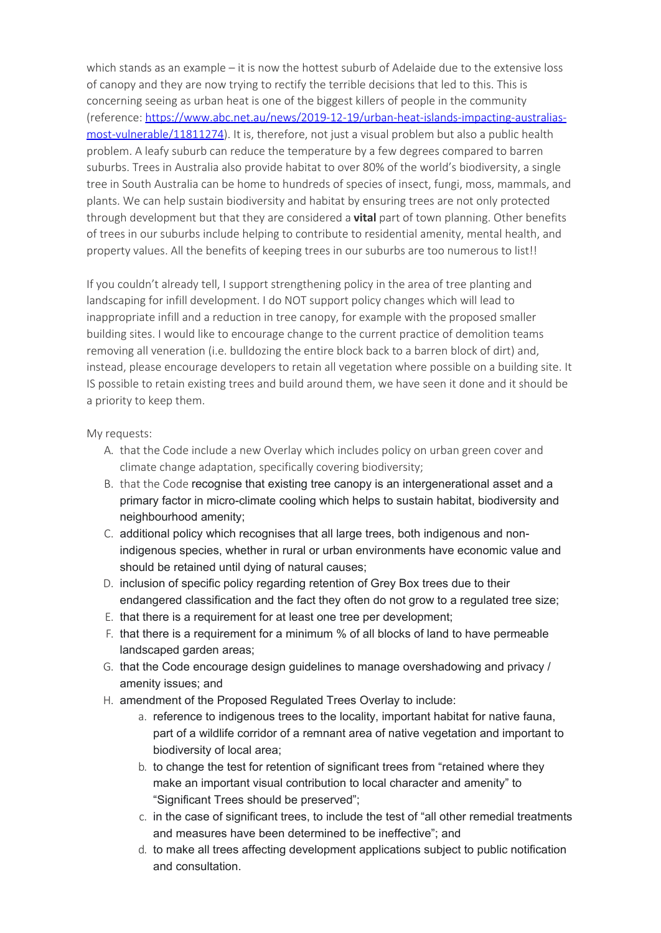which stands as an example – it is now the hottest suburb of Adelaide due to the extensive loss of canopy and they are now trying to rectify the terrible decisions that led to this. This is concerning seeing as urban heat is one of the biggest killers of people in the community (reference: [https://www.abc.net.au/news/2019-12-19/urban-heat-islands-impacting-australias](https://protect-au.mimecast.com/s/PlzzC91ZZ6hXo48CEQJQs?domain=abc.net.au)[most-vulnerable/11811274](https://protect-au.mimecast.com/s/PlzzC91ZZ6hXo48CEQJQs?domain=abc.net.au)). It is, therefore, not just a visual problem but also a public health problem. A leafy suburb can reduce the temperature by a few degrees compared to barren suburbs. Trees in Australia also provide habitat to over 80% of the world's biodiversity, a single tree in South Australia can be home to hundreds of species of insect, fungi, moss, mammals, and plants. We can help sustain biodiversity and habitat by ensuring trees are not only protected through development but that they are considered a **vital** part of town planning. Other benefits of trees in our suburbs include helping to contribute to residential amenity, mental health, and property values. All the benefits of keeping trees in our suburbs are too numerous to list!!

If you couldn't already tell, I support strengthening policy in the area of tree planting and landscaping for infill development. I do NOT support policy changes which will lead to inappropriate infill and a reduction in tree canopy, for example with the proposed smaller building sites. I would like to encourage change to the current practice of demolition teams removing all veneration (i.e. bulldozing the entire block back to a barren block of dirt) and, instead, please encourage developers to retain all vegetation where possible on a building site. It IS possible to retain existing trees and build around them, we have seen it done and it should be a priority to keep them.

## My requests:

- A. that the Code include a new Overlay which includes policy on urban green cover and climate change adaptation, specifically covering biodiversity;
- B. that the Code recognise that existing tree canopy is an intergenerational asset and a primary factor in micro-climate cooling which helps to sustain habitat, biodiversity and neighbourhood amenity;
- C. additional policy which recognises that all large trees, both indigenous and nonindigenous species, whether in rural or urban environments have economic value and should be retained until dying of natural causes;
- D. inclusion of specific policy regarding retention of Grey Box trees due to their endangered classification and the fact they often do not grow to a regulated tree size;
- E. that there is a requirement for at least one tree per development;
- F. that there is a requirement for a minimum % of all blocks of land to have permeable landscaped garden areas;
- G. that the Code encourage design guidelines to manage overshadowing and privacy / amenity issues; and
- H. amendment of the Proposed Regulated Trees Overlay to include:
	- a. reference to indigenous trees to the locality, important habitat for native fauna, part of a wildlife corridor of a remnant area of native vegetation and important to biodiversity of local area;
	- b. to change the test for retention of significant trees from "retained where they make an important visual contribution to local character and amenity" to "Significant Trees should be preserved";
	- c. in the case of significant trees, to include the test of "all other remedial treatments and measures have been determined to be ineffective"; and
	- d. to make all trees affecting development applications subject to public notification and consultation.